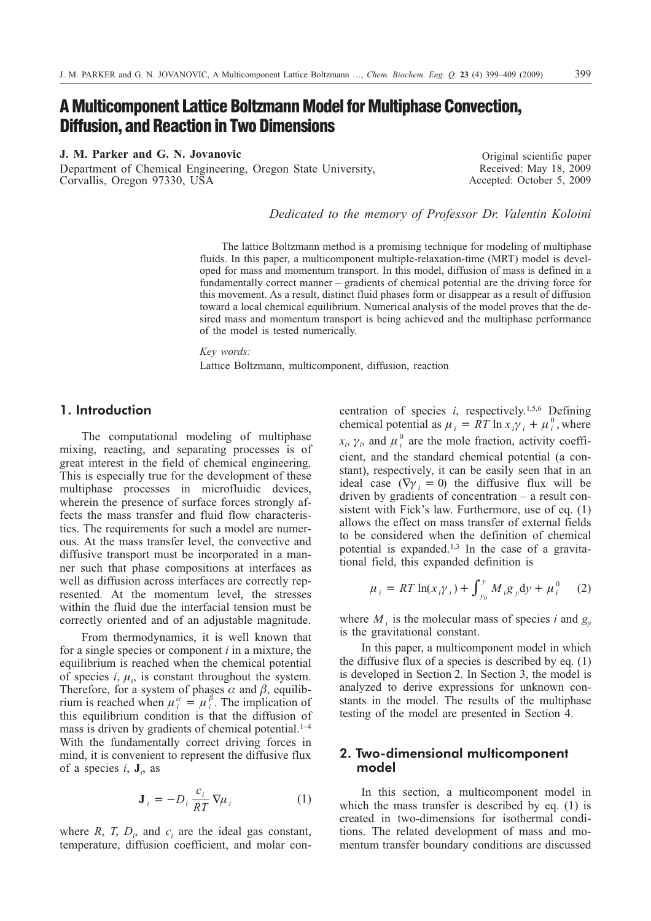# **A Multicomponent Lattice Boltzmann Model for Multiphase Convection, Diffusion, and Reaction in Two Dimensions**

**J. M. Parker and G. N. Jovanovic**

Department of Chemical Engineering, Oregon State University, Corvallis, Oregon 97330, USA

Original scientific paper Received: May 18, 2009 Accepted: October 5, 2009

*Dedicated to the memory of Professor Dr. Valentin Koloini*

The lattice Boltzmann method is a promising technique for modeling of multiphase fluids. In this paper, a multicomponent multiple-relaxation-time (MRT) model is developed for mass and momentum transport. In this model, diffusion of mass is defined in a fundamentally correct manner – gradients of chemical potential are the driving force for this movement. As a result, distinct fluid phases form or disappear as a result of diffusion toward a local chemical equilibrium. Numerical analysis of the model proves that the desired mass and momentum transport is being achieved and the multiphase performance of the model is tested numerically.

#### *Key words:*

Lattice Boltzmann, multicomponent, diffusion, reaction

## **1. Introduction**

The computational modeling of multiphase mixing, reacting, and separating processes is of great interest in the field of chemical engineering. This is especially true for the development of these multiphase processes in microfluidic devices, wherein the presence of surface forces strongly affects the mass transfer and fluid flow characteristics. The requirements for such a model are numerous. At the mass transfer level, the convective and diffusive transport must be incorporated in a manner such that phase compositions at interfaces as well as diffusion across interfaces are correctly represented. At the momentum level, the stresses within the fluid due the interfacial tension must be correctly oriented and of an adjustable magnitude.

From thermodynamics, it is well known that for a single species or component *i* in a mixture, the equilibrium is reached when the chemical potential of species  $i, \mu_i$ , is constant throughout the system. Therefore, for a system of phases  $\alpha$  and  $\beta$ , equilibrium is reached when  $\mu_i^{\alpha} = \mu_i^{\beta}$ . The implication of this equilibrium condition is that the diffusion of mass is driven by gradients of chemical potential. $1-4$ With the fundamentally correct driving forces in mind, it is convenient to represent the diffusive flux of a species *i*, **J***<sup>i</sup>* , as

$$
\mathbf{J}_{i} = -D_{i} \frac{c_{i}}{RT} \nabla \mu_{i}
$$
 (1)

where  $R$ ,  $T$ ,  $D_i$ , and  $c_i$  are the ideal gas constant, temperature, diffusion coefficient, and molar con-

centration of species  $i$ , respectively.<sup>1,5,6</sup> Defining chemical potential as  $\mu_i = RT \ln x_i \gamma_i + \mu_i^0$ , where  $x_i$ ,  $\gamma_i$ , and  $\mu_i^0$  are the mole fraction, activity coefficient, and the standard chemical potential (a constant), respectively, it can be easily seen that in an ideal case  $(\nabla \gamma_i = 0)$  the diffusive flux will be driven by gradients of concentration – a result consistent with Fick's law. Furthermore, use of eq. (1) allows the effect on mass transfer of external fields to be considered when the definition of chemical potential is expanded.1,3 In the case of a gravitational field, this expanded definition is

$$
\mu_{i} = RT \ln(x_{i} \gamma_{i}) + \int_{y_{0}}^{y} M_{i} g_{y} dy + \mu_{i}^{0} \quad (2)
$$

where  $M_i$  is the molecular mass of species *i* and  $g_y$ is the gravitational constant.

In this paper, a multicomponent model in which the diffusive flux of a species is described by eq. (1) is developed in Section 2. In Section 3, the model is analyzed to derive expressions for unknown constants in the model. The results of the multiphase testing of the model are presented in Section 4.

## **2. Two-dimensional multicomponent model**

In this section, a multicomponent model in which the mass transfer is described by eq. (1) is created in two-dimensions for isothermal conditions. The related development of mass and momentum transfer boundary conditions are discussed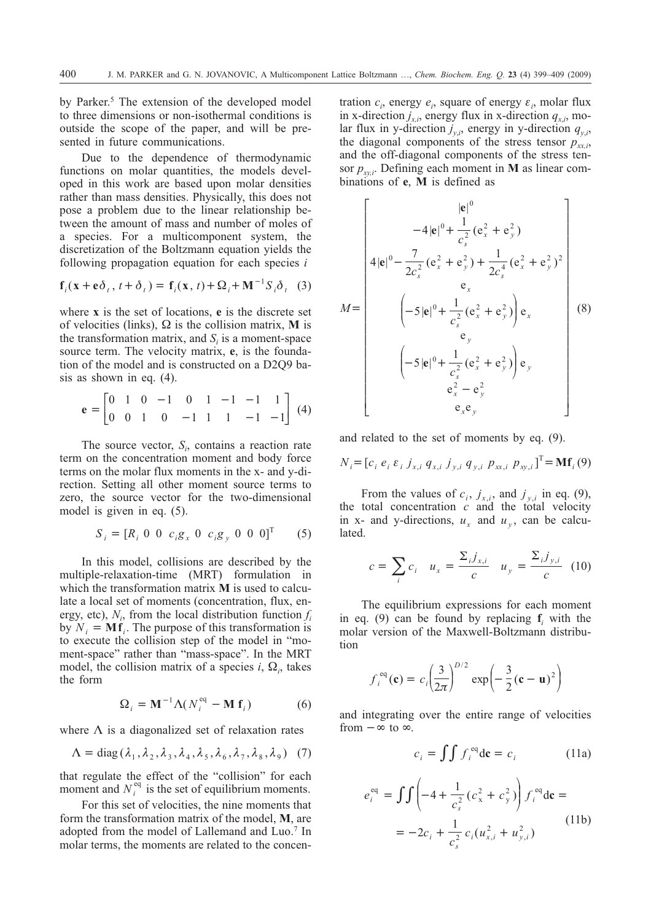by Parker.<sup>5</sup> The extension of the developed model to three dimensions or non-isothermal conditions is outside the scope of the paper, and will be presented in future communications.

Due to the dependence of thermodynamic functions on molar quantities, the models developed in this work are based upon molar densities rather than mass densities. Physically, this does not pose a problem due to the linear relationship between the amount of mass and number of moles of a species. For a multicomponent system, the discretization of the Boltzmann equation yields the following propagation equation for each species *i*

$$
\mathbf{f}_i(\mathbf{x} + \mathbf{e}\boldsymbol{\delta}_t, t + \boldsymbol{\delta}_t) = \mathbf{f}_i(\mathbf{x}, t) + \boldsymbol{\Omega}_i + \mathbf{M}^{-1} \boldsymbol{S}_i \boldsymbol{\delta}_t
$$
 (3)

where **x** is the set of locations, **e** is the discrete set of velocities (links),  $\Omega$  is the collision matrix, M is the transformation matrix, and  $S<sub>i</sub>$  is a moment-space source term. The velocity matrix, **e**, is the foundation of the model and is constructed on a D2Q9 basis as shown in eq. (4).

$$
\mathbf{e} = \begin{bmatrix} 0 & 1 & 0 & -1 & 0 & 1 & -1 & -1 & 1 \\ 0 & 0 & 1 & 0 & -1 & 1 & 1 & -1 & -1 \end{bmatrix} \tag{4}
$$

The source vector,  $S_i$ , contains a reaction rate term on the concentration moment and body force terms on the molar flux moments in the x- and y-direction. Setting all other moment source terms to zero, the source vector for the two-dimensional model is given in eq. (5).

$$
S_i = [R_i \ 0 \ 0 \ c_i g_x \ 0 \ c_i g_y \ 0 \ 0 \ 0]^T \qquad (5)
$$

In this model, collisions are described by the multiple-relaxation-time (MRT) formulation in which the transformation matrix **M** is used to calculate a local set of moments (concentration, flux, energy, etc),  $N_i$ , from the local distribution function  $f_i$ by  $N_i = Mf_i$ . The purpose of this transformation is to execute the collision step of the model in "moment-space" rather than "mass-space". In the MRT model, the collision matrix of a species  $i$ ,  $\Omega_i$ , takes the form

$$
\Omega_i = \mathbf{M}^{-1} \Lambda (N_i^{\text{eq}} - \mathbf{M} \mathbf{f}_i)
$$
 (6)

where  $\Lambda$  is a diagonalized set of relaxation rates

$$
\Lambda = \text{diag}\left(\lambda_1, \lambda_2, \lambda_3, \lambda_4, \lambda_5, \lambda_6, \lambda_7, \lambda_8, \lambda_9\right) \tag{7}
$$

that regulate the effect of the "collision" for each moment and  $N_i^{eq}$  is the set of equilibrium moments.

For this set of velocities, the nine moments that form the transformation matrix of the model, **M**, are adopted from the model of Lallemand and Luo.<sup>7</sup> In molar terms, the moments are related to the concen-

tration  $c_i$ , energy  $e_i$ , square of energy  $\varepsilon_i$ , molar flux in x-direction  $j_{x,i}$ , energy flux in x-direction  $q_{x,i}$ , molar flux in y-direction  $j_{y,i}$ , energy in y-direction  $q_{y,i}$ , the diagonal components of the stress tensor  $p_{xx}$ , and the off-diagonal components of the stress tensor  $p_{xv,i}$ . Defining each moment in **M** as linear combinations of **e**, **M** is defined as

$$
M = \begin{bmatrix} |e|^{0} \\ -4|e|^{0} + \frac{1}{c_{s}^{2}}(e_{x}^{2} + e_{y}^{2}) \\ 4|e|^{0} - \frac{7}{2c_{s}^{2}}(e_{x}^{2} + e_{y}^{2}) + \frac{1}{2c_{s}^{4}}(e_{x}^{2} + e_{y}^{2})^{2} \\ e_{x} \\ (-5|e|^{0} + \frac{1}{c_{s}^{2}}(e_{x}^{2} + e_{y}^{2})\Big) e_{x} \\ e_{y} \\ (-5|e|^{0} + \frac{1}{c_{s}^{2}}(e_{x}^{2} + e_{y}^{2})\Big) e_{y} \\ e_{x}^{2} - e_{y}^{2} \\ e_{x} e_{y} \end{bmatrix}
$$
(8)

and related to the set of moments by eq. (9).

$$
N_{i} = [c_{i} \ e_{i} \ \varepsilon_{i} \ j_{x,i} \ q_{x,i} \ j_{y,i} \ q_{y,i} \ p_{xx,i} \ p_{xy,i}]^{T} = Mf_{i}(9)
$$

From the values of  $c_i$ ,  $j_{x,i}$ , and  $j_{y,i}$  in eq. (9), the total concentration *c* and the total velocity in x- and y-directions,  $u_x$  and  $u_y$ , can be calculated.

$$
c = \sum_{i} c_{i} \quad u_{x} = \frac{\sum_{i} j_{x,i}}{c} \quad u_{y} = \frac{\sum_{i} j_{y,i}}{c} \quad (10)
$$

The equilibrium expressions for each moment in eq. (9) can be found by replacing **f***<sup>i</sup>* with the molar version of the Maxwell-Boltzmann distribution

$$
f_i^{eq}(\mathbf{c}) = c_i \left(\frac{3}{2\pi}\right)^{D/2} \exp\left(-\frac{3}{2}(\mathbf{c} - \mathbf{u})^2\right)
$$

and integrating over the entire range of velocities from  $-\infty$  to  $\infty$ .

$$
c_i = \iint f_i^{eq} d\mathbf{c} = c_i \tag{11a}
$$

$$
e_i^{eq} = \int \int \left( -4 + \frac{1}{c_s^2} (c_x^2 + c_y^2) \right) f_i^{eq} d\mathbf{c} =
$$
  
=  $-2c_i + \frac{1}{c_s^2} c_i (u_{x,i}^2 + u_{y,i}^2)$  (11b)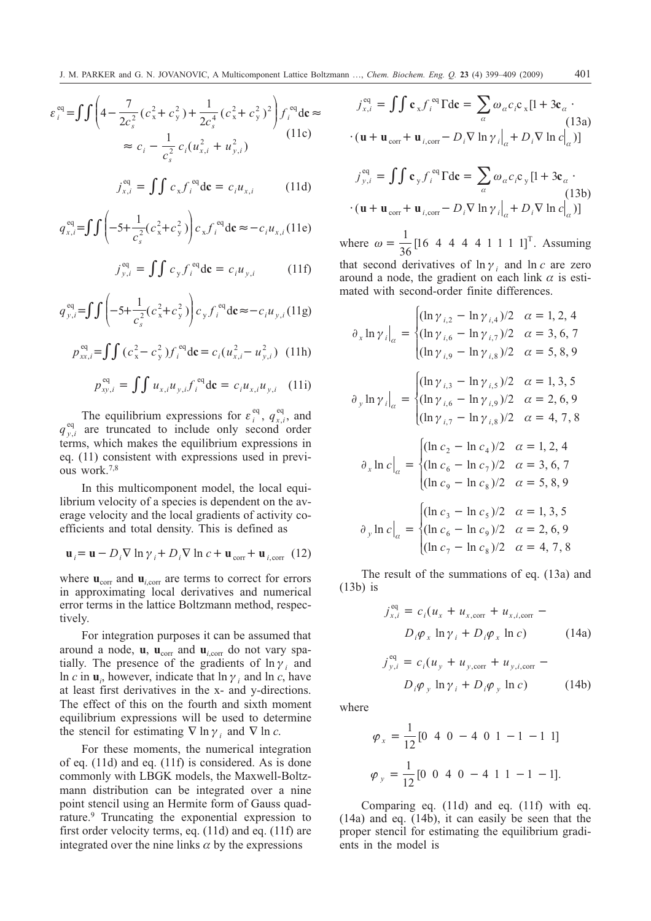$$
\varepsilon_i^{\text{eq}} = \int \int \left( 4 - \frac{7}{2c_s^2} (c_x^2 + c_y^2) + \frac{1}{2c_s^4} (c_x^2 + c_y^2)^2 \right) f_i^{\text{eq}} \, \mathrm{d} \mathbf{c} \approx
$$
\n
$$
\approx c_i - \frac{1}{c_s^2} c_i (u_{x,i}^2 + u_{y,i}^2)
$$
\n(11c)

$$
j_{x,i}^{\text{eq}} = \iint c_x f_i^{\text{eq}} d\mathbf{c} = c_i u_{x,i} \tag{11d}
$$

$$
q_{x,i}^{\text{eq}} = \int \int \left( -5 + \frac{1}{c_s^2} (c_x^2 + c_y^2) \right) c_x f_i^{\text{eq}} d\mathbf{c} \approx -c_i u_{x,i} (11e)
$$

$$
j_{y,i}^{\text{eq}} = \iint c_y f_i^{\text{eq}} d\mathbf{c} = c_i u_{y,i} \tag{11f}
$$

$$
q_{y,i}^{\text{eq}} = \int \int \left( -5 + \frac{1}{c_s^2} (c_x^2 + c_y^2) \right) c_y f_i^{\text{eq}} \, \mathrm{d} \mathbf{c} \approx -c_i u_{y,i} \, (11g)
$$

$$
p_{xx,i}^{\text{eq}} = \int \int (c_x^2 - c_y^2) f_i^{\text{eq}} d\mathbf{c} = c_i (u_{x,i}^2 - u_{y,i}^2) \tag{11h}
$$

$$
p_{xy,i}^{\text{eq}} = \int \int u_{x,i} u_{y,i} f_i^{\text{eq}} d\mathbf{c} = c_i u_{x,i} u_{y,i} \quad (11i)
$$

The equilibrium expressions for  $\varepsilon_i^{\text{eq}}$ ,  $q_{x,i}^{\text{eq}}$ , and  $q_{y,i}^{\text{eq}}$  are truncated to include only second order terms, which makes the equilibrium expressions in eq. (11) consistent with expressions used in previous work.7,8

In this multicomponent model, the local equilibrium velocity of a species is dependent on the average velocity and the local gradients of activity coefficients and total density. This is defined as

$$
\mathbf{u}_{i} = \mathbf{u} - D_{i} \nabla \ln \gamma_{i} + D_{i} \nabla \ln c + \mathbf{u}_{\text{corr}} + \mathbf{u}_{i,\text{corr}} \tag{12}
$$

where  $\mathbf{u}_{\text{corr}}$  and  $\mathbf{u}_{i,\text{corr}}$  are terms to correct for errors in approximating local derivatives and numerical error terms in the lattice Boltzmann method, respectively.

For integration purposes it can be assumed that around a node, **u**, **u**<sub>corr</sub> and **u**<sub>*i*,corr</sub> do not vary spatially. The presence of the gradients of  $\ln \gamma_i$  and ln *c* in  $\mathbf{u}_i$ , however, indicate that  $\ln \gamma_i$  and  $\ln c$ , have at least first derivatives in the x- and y-directions. The effect of this on the fourth and sixth moment equilibrium expressions will be used to determine the stencil for estimating  $\nabla \ln \gamma_i$  and  $\nabla \ln c$ .

For these moments, the numerical integration of eq. (11d) and eq. (11f) is considered. As is done commonly with LBGK models, the Maxwell-Boltzmann distribution can be integrated over a nine point stencil using an Hermite form of Gauss quadrature.9 Truncating the exponential expression to first order velocity terms, eq. (11d) and eq. (11f) are integrated over the nine links  $\alpha$  by the expressions

$$
j_{x,i}^{\text{eq}} = \iint \mathbf{c}_x f_i^{\text{eq}} \Gamma \text{d}\mathbf{c} = \sum_{\alpha} \omega_{\alpha} c_i \mathbf{c}_x [1 + 3\mathbf{c}_{\alpha} \cdot (13a)
$$

$$
\cdot (\mathbf{u} + \mathbf{u}_{\text{corr}} + \mathbf{u}_{i,\text{corr}} - D_i \nabla \ln \gamma_i \big|_{\alpha} + D_i \nabla \ln c \big|_{\alpha})]
$$
(13a)

$$
j_{y,i}^{\text{eq}} = \iint \mathbf{c}_y f_i^{\text{eq}} \Gamma \text{d}\mathbf{c} = \sum_{\alpha} \omega_{\alpha} c_i \mathbf{c}_y [1 + 3\mathbf{c}_{\alpha} \cdot (13b) + (\mathbf{u} + \mathbf{u}_{\text{corr}} + \mathbf{u}_{i,\text{corr}} - D_i \nabla \ln \gamma_i]_{\alpha} + D_i \nabla \ln c_{\alpha}^{\dagger})]
$$

where  $\omega = \frac{1}{36} [16 \ 4 \ 4 \ 4 \ 4 \ 1 \ 1 \ 1 \ 1]^T$ . Assuming

that second derivatives of  $\ln \gamma_i$  and  $\ln c$  are zero around a node, the gradient on each link  $\alpha$  is estimated with second-order finite differences.

$$
\partial_x \ln \gamma_i \Big|_{\alpha} = \begin{cases}\n(\ln \gamma_{i,2} - \ln \gamma_{i,4})/2 & \alpha = 1, 2, 4 \\
(\ln \gamma_{i,6} - \ln \gamma_{i,7})/2 & \alpha = 3, 6, 7 \\
(\ln \gamma_{i,9} - \ln \gamma_{i,8})/2 & \alpha = 5, 8, 9\n\end{cases}
$$
\n
$$
\partial_y \ln \gamma_i \Big|_{\alpha} = \begin{cases}\n(\ln \gamma_{i,3} - \ln \gamma_{i,5})/2 & \alpha = 1, 3, 5 \\
(\ln \gamma_{i,6} - \ln \gamma_{i,9})/2 & \alpha = 2, 6, 9 \\
(\ln \gamma_{i,7} - \ln \gamma_{i,8})/2 & \alpha = 4, 7, 8\n\end{cases}
$$
\n
$$
\partial_x \ln c \Big|_{\alpha} = \begin{cases}\n(\ln c_2 - \ln c_4)/2 & \alpha = 1, 2, 4 \\
(\ln c_6 - \ln c_7)/2 & \alpha = 3, 6, 7 \\
(\ln c_9 - \ln c_8)/2 & \alpha = 5, 8, 9 \\
(\ln c_6 - \ln c_9)/2 & \alpha = 2, 6, 9 \\
(\ln c_7 - \ln c_8)/2 & \alpha = 2, 6, 9 \\
(\ln c_7 - \ln c_8)/2 & \alpha = 4, 7, 8\n\end{cases}
$$

The result of the summations of eq. (13a) and (13b) is

$$
j_{x,i}^{\text{eq}} = c_i (u_x + u_{x,\text{corr}} + u_{x,i,\text{corr}} - D_i \varphi_x \ln \gamma_i + D_i \varphi_x \ln c)
$$
 (14a)

$$
j_{y,i}^{\text{eq}} = c_i (u_y + u_{y,\text{corr}} + u_{y,i,\text{corr}} - D_i \varphi_y \ln \gamma_i + D_i \varphi_y \ln c)
$$
 (14b)

where

$$
\varphi_x = \frac{1}{12} [0 \ 4 \ 0 \ -4 \ 0 \ 1 \ -1 \ -1 \ 1]
$$

$$
\varphi_y = \frac{1}{12} [0 \ 0 \ 4 \ 0 \ -4 \ 1 \ 1 \ -1 \ -1].
$$

Comparing eq. (11d) and eq. (11f) with eq. (14a) and eq. (14b), it can easily be seen that the proper stencil for estimating the equilibrium gradients in the model is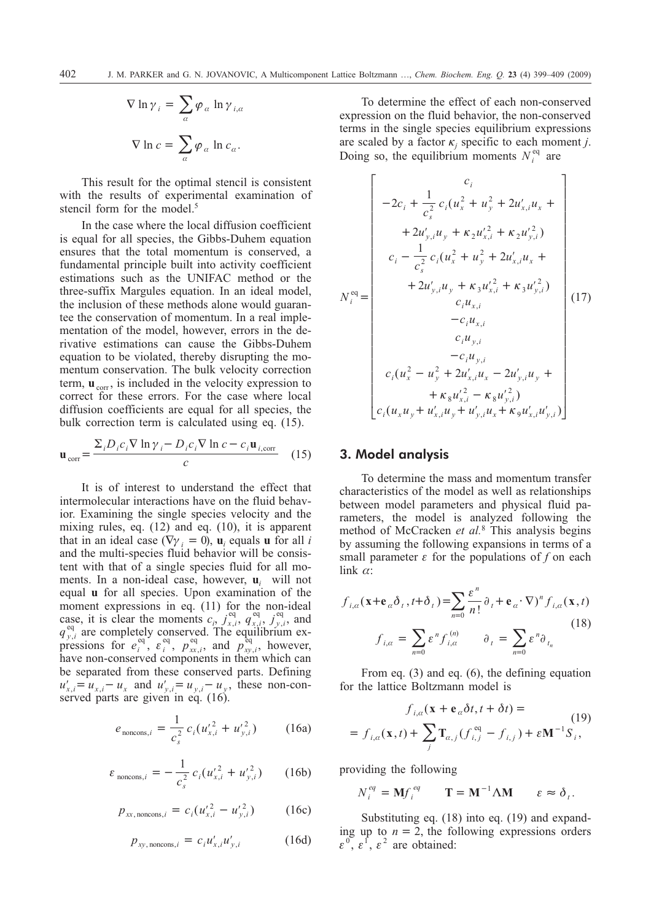$$
\nabla \ln \gamma_i = \sum_{\alpha} \varphi_{\alpha} \ln \gamma_{i,\alpha}
$$

$$
\nabla \ln c = \sum_{\alpha} \varphi_{\alpha} \ln c_{\alpha}.
$$

This result for the optimal stencil is consistent with the results of experimental examination of stencil form for the model.<sup>5</sup>

In the case where the local diffusion coefficient is equal for all species, the Gibbs-Duhem equation ensures that the total momentum is conserved, a fundamental principle built into activity coefficient estimations such as the UNIFAC method or the three-suffix Margules equation. In an ideal model, the inclusion of these methods alone would guarantee the conservation of momentum. In a real implementation of the model, however, errors in the derivative estimations can cause the Gibbs-Duhem equation to be violated, thereby disrupting the momentum conservation. The bulk velocity correction term,  $\mathbf{u}_{\text{corr}}$ , is included in the velocity expression to correct for these errors. For the case where local diffusion coefficients are equal for all species, the bulk correction term is calculated using eq. (15).

$$
\mathbf{u}_{\text{corr}} = \frac{\sum_{i} D_{i} c_{i} \nabla \ln \gamma_{i} - D_{i} c_{i} \nabla \ln c - c_{i} \mathbf{u}_{i,\text{corr}}}{c}
$$
 (15)

It is of interest to understand the effect that intermolecular interactions have on the fluid behavior. Examining the single species velocity and the mixing rules, eq. (12) and eq. (10), it is apparent that in an ideal case ( $\nabla \gamma_i = 0$ ),  $\mathbf{u}_i$  equals **u** for all *i* and the multi-species fluid behavior will be consistent with that of a single species fluid for all moments. In a non-ideal case, however, **u***<sup>i</sup>* will not equal **u** for all species. Upon examination of the moment expressions in eq. (11) for the non-ideal case, it is clear the moments  $c_i$ ,  $j_{x,i}^{\text{eq}}, q_{x,i}^{\text{eq}}, j_{y,i}^{\text{eq}}$ , and  $q_{y,i}^{\text{eq}}$  are completely conserved. The equilibrium expressions for  $e_i^{\text{eq}}$ ,  $e_i^{\text{eq}}$ ,  $p_{xx,i}^{\text{eq}}$ , and  $p_{xy,i}^{\text{eq}}$ , however, have non-conserved components in them which can be separated from these conserved parts. Defining  $u'_{x,i} = u_{x,i} - u_x$  and  $u'_{y,i} = u_{y,i} - u_y$ , these non-conserved parts are given in eq. (16).

$$
e_{\text{noncons},i} = \frac{1}{c_s^2} c_i (u'_{x,i}^2 + u'_{y,i}^2)
$$
 (16a)

$$
\varepsilon_{\text{noncons},i} = -\frac{1}{c_s^2} c_i (u_{x,i}'^2 + u_{y,i}'^2) \qquad (16b)
$$

$$
p_{xx,\text{noncons},i} = c_i (u_{x,i}^{\prime 2} - u_{y,i}^{\prime 2}) \qquad (16c)
$$

$$
p_{xy,\text{noncons},i} = c_i u'_{x,i} u'_{y,i} \tag{16d}
$$

To determine the effect of each non-conserved expression on the fluid behavior, the non-conserved terms in the single species equilibrium expressions are scaled by a factor  $\kappa_i$  specific to each moment *j*. Doing so, the equilibrium moments  $N_i^{\text{eq}}$  are

$$
N_i^{\text{eq}} =\n\begin{bmatrix}\nc_i \\
-2c_i + \frac{1}{c_s^2} c_i (u_x^2 + u_y^2 + 2u_{x,i}' u_x + \\
+ 2u_{y,i}' u_y + \kappa_2 u_{x,i}'^2 + \kappa_2 u_{y,i}'^2) \\
c_i - \frac{1}{c_s^2} c_i (u_x^2 + u_y^2 + 2u_{x,i}' u_x + \\
+ 2u_{y,i}' u_y + \kappa_3 u_{x,i}'^2 + \kappa_3 u_{y,i}'^2) \\
c_i u_{x,i} \\
c_i u_{x,i} \\
-c_i u_{y,i} \\
-c_i u_{y,i} \\
-c_i u_{y,i} \\
c_i (u_x^2 - u_y^2 + 2u_{x,i}' u_x - 2u_{y,i}' u_y + \\
+ \kappa_8 u_{x,i}'^2 - \kappa_8 u_{y,i}'^2) \\
c_i (u_x u_y + u_{x,i}' u_y + u_{y,i}' u_x + \kappa_9 u_{x,i}' u_{y,i})\n\end{bmatrix}
$$
\n(17)

## **3. Model analysis**

To determine the mass and momentum transfer characteristics of the model as well as relationships between model parameters and physical fluid parameters, the model is analyzed following the method of McCracken *et al.*<sup>8</sup> This analysis begins by assuming the following expansions in terms of a small parameter  $\varepsilon$  for the populations of  $f$  on each  $\lim k \alpha$ :

$$
f_{i,\alpha}(\mathbf{x} + \mathbf{e}_{\alpha} \delta_{t}, t + \delta_{t}) = \sum_{n=0}^{\infty} \frac{\varepsilon^{n}}{n!} \partial_{t} + \mathbf{e}_{\alpha} \cdot \nabla)^{n} f_{i,\alpha}(\mathbf{x}, t)
$$
  

$$
f_{i,\alpha} = \sum_{n=0}^{\infty} \varepsilon^{n} f_{i,\alpha}^{(n)} \qquad \partial_{t} = \sum_{n=0}^{\infty} \varepsilon^{n} \partial_{t_{n}}
$$
(18)

From eq. (3) and eq. (6), the defining equation for the lattice Boltzmann model is

$$
f_{i,a}(\mathbf{x} + \mathbf{e}_a \delta t, t + \delta t) =
$$
\n
$$
= f_{i,a}(\mathbf{x}, t) + \sum_j \mathbf{T}_{a,j} (f_{i,j}^{eq} - f_{i,j}) + \varepsilon \mathbf{M}^{-1} S_i,
$$
\n(19)

providing the following

$$
N_i^{eq} = \mathbf{M} f_i^{eq} \qquad \mathbf{T} = \mathbf{M}^{-1} \Lambda \mathbf{M} \qquad \varepsilon \approx \delta_i.
$$

Substituting eq. (18) into eq. (19) and expanding up to  $n = 2$ , the following expressions orders  $\varepsilon^0$ ,  $\varepsilon^1$ ,  $\varepsilon^2$  are obtained: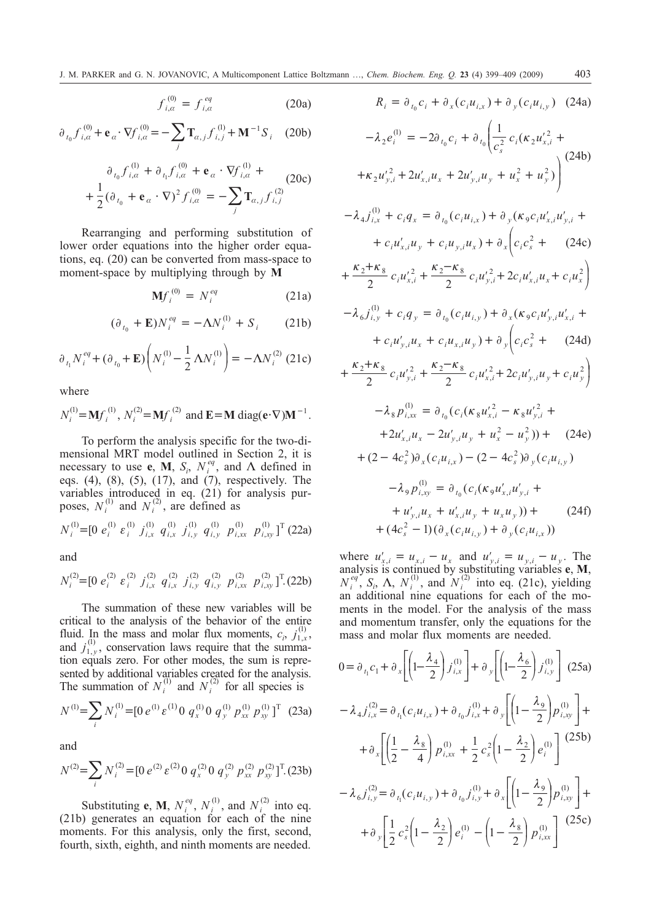$$
f_{i,a}^{(0)} = f_{i,a}^{eq} \tag{20a}
$$

$$
\partial_{t_0} f_{i,\alpha}^{(0)} + \mathbf{e}_{\alpha} \cdot \nabla f_{i,\alpha}^{(0)} = -\sum_j \mathbf{T}_{\alpha,j} f_{i,j}^{(1)} + \mathbf{M}^{-1} S_i \quad (20b)
$$

$$
\partial_{t_0} f_{i,\alpha}^{(1)} + \partial_{t_1} f_{i,\alpha}^{(0)} + \mathbf{e}_{\alpha} \cdot \nabla f_{i,\alpha}^{(1)} +
$$
\n
$$
+ \frac{1}{2} (\partial_{t_0} + \mathbf{e}_{\alpha} \cdot \nabla)^2 f_{i,\alpha}^{(0)} = - \sum_j \mathbf{T}_{\alpha,j} f_{i,j}^{(2)} \tag{20c}
$$

Rearranging and performing substitution of lower order equations into the higher order equations, eq. (20) can be converted from mass-space to moment-space by multiplying through by **M**

$$
\mathbf{M}f_i^{(0)} = N_i^{eq} \tag{21a}
$$

$$
(\partial_{t_0} + \mathbf{E}) N_i^{eq} = -\Lambda N_i^{(1)} + S_i \qquad (21b)
$$

$$
\partial_{t_1} N_i^{eq} + (\partial_{t_0} + \mathbf{E}) \left( N_i^{(1)} - \frac{1}{2} \Lambda N_i^{(1)} \right) = -\Lambda N_i^{(2)} \text{ (21c)}
$$

where

$$
N_i^{(1)} = Mf_i^{(1)}, N_i^{(2)} = Mf_i^{(2)}
$$
 and  $E = M \text{ diag}(e \cdot \nabla)M^{-1}$ .

To perform the analysis specific for the two-dimensional MRT model outlined in Section 2, it is necessary to use **e**, **M**,  $S_i$ ,  $N_i^{eq}$ , and  $\Lambda$  defined in eqs. (4), (8), (5), (17), and (7), respectively. The variables introduced in eq. (21) for analysis purposes,  $N_i^{(1)}$  and  $N_i^{(2)}$ , are defined as

 $N_i^{(1)}$  = [0  $e_i^{(1)} e_i^{(1)} j_{i,x}^{(1)} q_{i,x}^{(1)} j_{i,y}^{(1)} q_{i,y}^{(1)} p_{i,x}^{(1)}$ ,  $\scriptstyle (1)$ ,  $\scriptstyle (1)$ ,  $\scriptstyle (1)$ ,  $\mathcal{L}^{(1)}=[0 \; e_i^{(1)} \; \varepsilon_i^{(1)} \; j_{i,x}^{(1)} \; q_{i,x}^{(1)} \; j_{i,y}^{(1)} \; q_{i,y}^{(1)} \; p_{i,xx}^{(1)} \; p_{i,xy}^{(1)}]^{\mathrm{T}}$  (22a)

and

$$
N_i^{(2)} = [0 \; e_i^{(2)} \; \varepsilon_i^{(2)} \; j_{i,x}^{(2)} \; q_{i,x}^{(2)} \; j_{i,y}^{(2)} \; q_{i,y}^{(2)} \; p_{i,xx}^{(2)} \; p_{i,xy}^{(2)}]^\mathrm{T} (22b)
$$

The summation of these new variables will be critical to the analysis of the behavior of the entire fluid. In the mass and molar flux moments,  $c_i$ ,  $j_{1,x}^{(1)}$  $_{1,x}^{(1)},$ and  $j_{1,y}^{(1)}$  $_{1,y}^{(1)}$ , conservation laws require that the summation equals zero. For other modes, the sum is represented by additional variables created for the analysis. The summation of  $N_i^{(1)}$  and  $N_i^{(2)}$  for all species is

$$
N^{(1)} = \sum_{i} N^{(1)}_{i} = [0 e^{(1)} \varepsilon^{(1)} 0 q^{(1)}_{x} 0 q^{(1)}_{y} p^{(1)}_{xx} p^{(1)}_{xy}]^{T}
$$
 (23a)

and

$$
N^{(2)} = \sum_{i} N_i^{(2)} = [0 \ e^{(2)} \ \varepsilon^{(2)} \ 0 \ q_x^{(2)} \ 0 \ q_y^{(2)} \ p_{xx}^{(2)} \ p_{xy}^{(2)}]^\mathrm{T} \tag{23b}
$$

Substituting **e**, **M**,  $N_i^{eq}$ ,  $N_i^{(1)}$ , and  $N_i^{(2)}$  into eq. (21b) generates an equation for each of the nine moments. For this analysis, only the first, second, fourth, sixth, eighth, and ninth moments are needed.

$$
R_i = \partial_{t_0} c_i + \partial_x (c_i u_{i,x}) + \partial_y (c_i u_{i,y})
$$
 (24a)

$$
-\lambda_2 e_i^{(1)} = -2\partial_{t_0} c_i + \partial_{t_0} \left( \frac{1}{c_s^2} c_i (\kappa_2 u_{x,i}^2 + + \kappa_2 u_{y,i}^2 + 2u_{x,i} u_x + 2u_{y,i} u_y + u_x^2 + u_y^2) \right)
$$
(24b)

$$
-\lambda_4 j_{i,x}^{(1)} + c_i q_x = \partial_{t_0} (c_i u_{i,x}) + \partial_y (\kappa_9 c_i u'_{x,i} u'_{y,i} +
$$
  
+  $c_i u'_{x,i} u_y + c_i u_{y,i} u_x) + \partial_x \left(c_i c_s^2 + (24c)\right)$ 

$$
+\frac{\kappa_2+\kappa_8}{2}c_iu_{x,i}^{\prime 2}+\frac{\kappa_2-\kappa_8}{2}c_iu_{y,i}^{\prime 2}+2c_iu_{x,i}^{\prime}u_x+c_iu_x^2\bigg)
$$

$$
-\lambda_{6}j_{i,y}^{(1)} + c_{i}q_{y} = \partial_{t_{0}}(c_{i}u_{i,y}) + \partial_{x}(\kappa_{9}c_{i}u_{y,i}^{\prime}u_{x,i}^{\prime} ++ c_{i}u_{y,i}^{\prime}u_{x} + c_{i}u_{x,i}u_{y}) + \partial_{y}\left(c_{i}c_{s}^{2} + (24d)\right)
$$

$$
+\frac{\kappa_2+\kappa_8}{2}c_i u_{y,i}^{\prime 2}+\frac{\kappa_2-\kappa_8}{2}c_i u_{x,i}^{\prime 2}+2c_i u_{y,i}^{\prime} u_y+c_i u_y^2\bigg)
$$

$$
-\lambda_{8} p_{i,xx}^{(1)} = \partial_{t_{0}} (c_{i} (\kappa_{8} u_{x,i}^{\prime 2} - \kappa_{8} u_{y,i}^{\prime 2} ++ 2u_{x,i}^{\prime} u_{x} - 2u_{y,i}^{\prime} u_{y} + u_{x}^{2} - u_{y}^{2}) ) + (24e)+ (2 - 4c_{s}^{2}) \partial_{x} (c_{i} u_{i,x}) - (2 - 4c_{s}^{2}) \partial_{y} (c_{i} u_{i,y})- \lambda_{9} p_{i,xy}^{(1)} = \partial_{t_{0}} (c_{i} (\kappa_{9} u_{x,i}^{\prime} u_{y,i}^{\prime} ++ u_{y,i}^{\prime} u_{x} + u_{x,i}^{\prime} u_{y} + u_{x} u_{y}) ) + (24f)
$$

where  $u'_{x,i} = u_{x,i} - u_x$  and  $u'_{y,i} = u_{y,i} - u_y$ . The analysis is continued by substituting variables **e**, **M**,  $N_i^{eq}$ ,  $S_i$ ,  $\Lambda$ ,  $N_i^{(1)}$ , and  $N_i^{(2)}$  into eq. (21c), yielding an additional nine equations for each of the moments in the model. For the analysis of the mass and momentum transfer, only the equations for the mass and molar flux moments are needed.

 $+ (4c_s^2 - 1)(\partial_x(c_i u_{i,y}) + \partial_y(c_i u_{i,x}))$ 

$$
0 = \partial_{t_1} c_1 + \partial_x \left[ \left( 1 - \frac{\lambda_4}{2} \right) j_{i,x}^{(1)} \right] + \partial_y \left[ \left( 1 - \frac{\lambda_6}{2} \right) j_{i,y}^{(1)} \right] (25a)
$$
  

$$
- \lambda_4 j_{i,x}^{(2)} = \partial_{t_1} (c_i u_{i,x}) + \partial_{t_0} j_{i,x}^{(1)} + \partial_y \left[ \left( 1 - \frac{\lambda_9}{2} \right) p_{i,xy}^{(1)} \right] +
$$

$$
+ \partial_x \left[ \left( \frac{1}{2} - \frac{\lambda_8}{4} \right) p_{i,xx}^{(1)} + \frac{1}{2} c_s^2 \left( 1 - \frac{\lambda_2}{2} \right) e_i^{(1)} \right] (25b)
$$

$$
- \lambda_6 j_{i,y}^{(2)} = \partial_{t_1} (c_i u_{i,y}) + \partial_{t_0} j_{i,y}^{(1)} + \partial_x \left[ \left( 1 - \frac{\lambda_9}{2} \right) p_{i,xy}^{(1)} \right] +
$$

$$
+ \partial_y \left[ \frac{1}{2} c_s^2 \left( 1 - \frac{\lambda_2}{2} \right) e_i^{(1)} - \left( 1 - \frac{\lambda_8}{2} \right) p_{i,xx}^{(1)} \right] (25c)
$$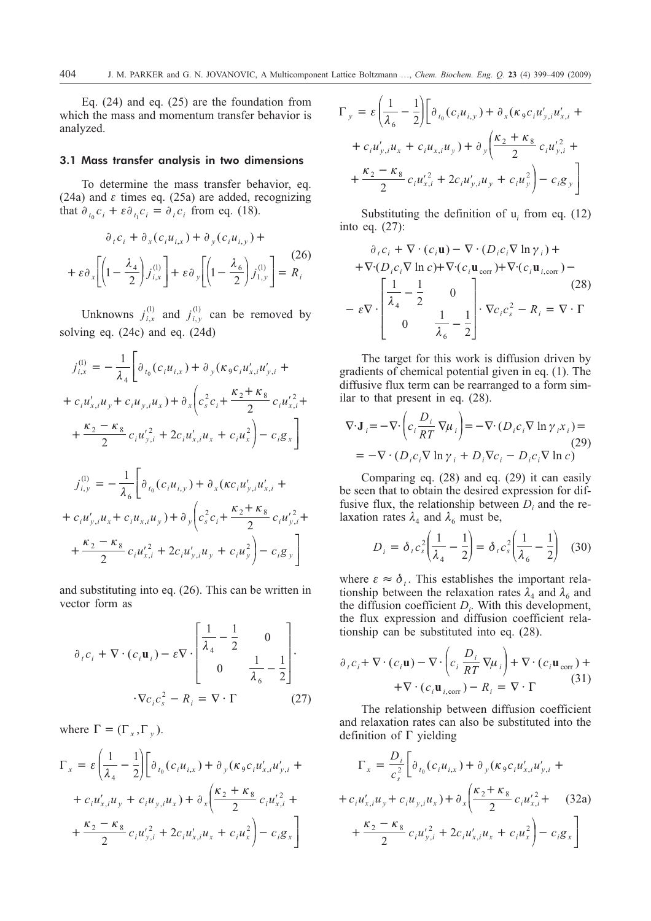Eq. (24) and eq. (25) are the foundation from which the mass and momentum transfer behavior is analyzed.

#### 3.1 Mass transfer analysis in two dimensions

To determine the mass transfer behavior, eq. (24a) and  $\varepsilon$  times eq. (25a) are added, recognizing that  $\partial_{t_0} c_i + \varepsilon \partial_{t_1} c_i = \partial_t c_i$  from eq. (18).

$$
\partial_t c_i + \partial_x (c_i u_{i,x}) + \partial_y (c_i u_{i,y}) +
$$

$$
+ \varepsilon \partial_x \left[ \left( 1 - \frac{\lambda_4}{2} \right) j_{i,x}^{(1)} \right] + \varepsilon \partial_y \left[ \left( 1 - \frac{\lambda_6}{2} \right) j_{1,y}^{(1)} \right] = R_i
$$

Unknowns  $j_{i,x}^{(1)}$  and  $j_{i,y}^{(1)}$  can be removed by solving eq. (24c) and eq. (24d)

$$
j_{i,x}^{(l)} = -\frac{1}{\lambda_4} \bigg[ \partial_{t_0} (c_i u_{i,x}) + \partial_y (\kappa_9 c_i u'_{x,i} u'_{y,i} ++ c_i u'_{x,i} u_y + c_i u_{y,i} u_x) + \partial_x \bigg( c_s^2 c_i + \frac{\kappa_2 + \kappa_8}{2} c_i u'_{x,i}^2 ++ \frac{\kappa_2 - \kappa_8}{2} c_i u'_{y,i}^2 + 2c_i u'_{x,i} u_x + c_i u_x^2 \bigg) - c_i g_x \bigg]
$$
  

$$
j_{i,y}^{(l)} = -\frac{1}{\lambda_6} \bigg[ \partial_{t_0} (c_i u_{i,y}) + \partial_x (\kappa c_i u'_{y,i} u'_{x,i} ++ c_i u'_{y,i} u_x + c_i u_{x,i} u_y) + \partial_y \bigg( c_s^2 c_i + \frac{\kappa_2 + \kappa_8}{2} c_i u'_{y,i}^2 ++ \frac{\kappa_2 - \kappa_8}{2} c_i u'_{x,i}^2 + 2c_i u'_{y,i} u_y + c_i u_y^2 \bigg) - c_i g_y \bigg]
$$

and substituting into eq. (26). This can be written in vector form as

$$
\partial_t c_i + \nabla \cdot (c_i \mathbf{u}_i) - \varepsilon \nabla \cdot \begin{bmatrix} \frac{1}{\lambda_4} - \frac{1}{2} & 0 \\ 0 & \frac{1}{\lambda_6} - \frac{1}{2} \end{bmatrix} .
$$

$$
\cdot \nabla c_i c_s^2 - R_i = \nabla \cdot \Gamma \qquad (27)
$$

where  $\Gamma = (\Gamma_x, \Gamma_y)$ .

$$
\Gamma_x = \varepsilon \left( \frac{1}{\lambda_4} - \frac{1}{2} \right) \left[ \partial_{t_0} (c_i u_{i,x}) + \partial_y (\kappa_9 c_i u'_{x,i} u'_{y,i} +
$$
  
+  $c_i u'_{x,i} u_y + c_i u_{y,i} u_x) + \partial_x \left( \frac{\kappa_2 + \kappa_8}{2} c_i u'_{x,i}^2 +$   
+  $\frac{\kappa_2 - \kappa_8}{2} c_i u'_{y,i}^2 + 2c_i u'_{x,i} u_x + c_i u_x^2 \right) - c_i g_x \right]$ 

$$
\Gamma_{y} = \varepsilon \left( \frac{1}{\lambda_{6}} - \frac{1}{2} \right) \left[ \partial_{t_{0}} (c_{i} u_{i,y}) + \partial_{x} (\kappa_{9} c_{i} u_{y,i} u_{x,i} +
$$
  
+  $c_{i} u_{y,i} u_{x} + c_{i} u_{x,i} u_{y}) + \partial_{y} \left( \frac{\kappa_{2} + \kappa_{8}}{2} c_{i} u_{y,i}^{'2} +$   
+  $\frac{\kappa_{2} - \kappa_{8}}{2} c_{i} u_{x,i}^{'2} + 2c_{i} u_{y,i}^{'2} u_{y} + c_{i} u_{y}^{2} \right) - c_{i} g_{y}$ 

Substituting the definition of u*<sup>i</sup>* from eq. (12) into eq. (27):

$$
\partial_{t} c_{i} + \nabla \cdot (c_{i} \mathbf{u}) - \nabla \cdot (D_{i} c_{i} \nabla \ln \gamma_{i}) +
$$
  
+ 
$$
\nabla \cdot (D_{i} c_{i} \nabla \ln c) + \nabla \cdot (c_{i} \mathbf{u}_{corr}) + \nabla \cdot (c_{i} \mathbf{u}_{i,corr}) -
$$
  
- 
$$
\varepsilon \nabla \cdot \begin{bmatrix} \frac{1}{\lambda_{4}} - \frac{1}{2} & 0 \\ 0 & \frac{1}{\lambda_{6}} - \frac{1}{2} \end{bmatrix} \cdot \nabla c_{i} c_{s}^{2} - R_{i} = \nabla \cdot \Gamma
$$
 (28)

The target for this work is diffusion driven by gradients of chemical potential given in eq. (1). The diffusive flux term can be rearranged to a form similar to that present in eq. (28).

$$
\nabla \cdot \mathbf{J}_i = -\nabla \cdot \left( c_i \frac{D_i}{RT} \nabla \mu_i \right) = -\nabla \cdot (D_i c_i \nabla \ln \gamma_i x_i) =
$$
\n
$$
= -\nabla \cdot (D_i c_i \nabla \ln \gamma_i + D_i \nabla c_i - D_i c_i \nabla \ln c)
$$
\n(29)

Comparing eq. (28) and eq. (29) it can easily be seen that to obtain the desired expression for diffusive flux, the relationship between  $D_i$  and the relaxation rates  $\lambda_4$  and  $\lambda_6$  must be,

$$
D_i = \delta_i c_s^2 \left( \frac{1}{\lambda_4} - \frac{1}{2} \right) = \delta_i c_s^2 \left( \frac{1}{\lambda_6} - \frac{1}{2} \right) \tag{30}
$$

where  $\varepsilon \approx \delta_{t}$ . This establishes the important relationship between the relaxation rates  $\lambda_4$  and  $\lambda_6$  and the diffusion coefficient  $D_i$ . With this development, the flux expression and diffusion coefficient relationship can be substituted into eq. (28).

$$
\partial_{t} c_{i} + \nabla \cdot (c_{i} \mathbf{u}) - \nabla \cdot \left( c_{i} \frac{D_{i}}{RT} \nabla \mu_{i} \right) + \nabla \cdot (c_{i} \mathbf{u}_{\text{corr}}) + \n+ \nabla \cdot (c_{i} \mathbf{u}_{i,\text{corr}}) - R_{i} = \nabla \cdot \Gamma
$$
\n(31)

The relationship between diffusion coefficient and relaxation rates can also be substituted into the definition of  $\Gamma$  yielding

$$
\Gamma_x = \frac{D_i}{c_s^2} \bigg[ \partial_{t_0} (c_i u_{i,x}) + \partial_y (\kappa_9 c_i u'_{x,i} u'_{y,i} +
$$
  
+  $c_i u'_{x,i} u_y + c_i u_{y,i} u_x) + \partial_x \bigg( \frac{\kappa_2 + \kappa_8}{2} c_i u'_{x,i}^2 + (32a) + \frac{\kappa_2 - \kappa_8}{2} c_i u'_{y,i}^2 + 2c_i u'_{x,i} u_x + c_i u_x^2 \bigg) - c_i g_x \bigg]$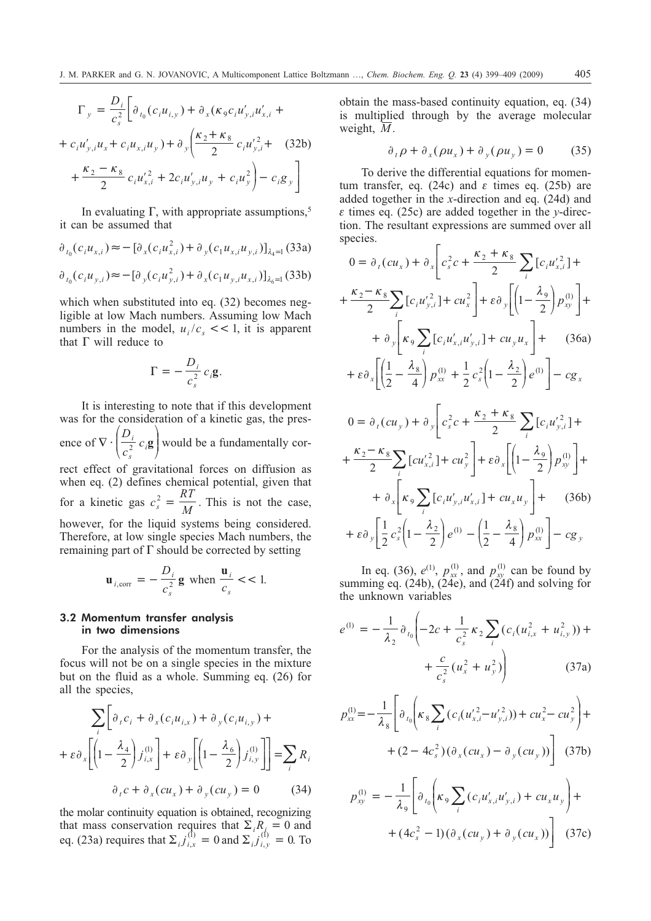$$
\Gamma_{y} = \frac{D_{i}}{c_{s}^{2}} \bigg[ \partial_{t_{0}} (c_{i} u_{i,y}) + \partial_{x} (\kappa_{9} c_{i} u_{y,i} u_{x,i} +
$$
  
+  $c_{i} u_{y,i} u_{x} + c_{i} u_{x,i} u_{y}) + \partial_{y} \bigg( \frac{\kappa_{2} + \kappa_{8}}{2} c_{i} u_{y,i}^{'2} + (32b)$   
+  $\frac{\kappa_{2} - \kappa_{8}}{2} c_{i} u_{x,i}^{'2} + 2c_{i} u_{y,i}^{'2} u_{y} + c_{i} u_{y}^{2} \bigg) - c_{i} g_{y} \bigg]$ 

In evaluating  $\Gamma$ , with appropriate assumptions,<sup>5</sup> it can be assumed that

$$
\partial_{t_0}(c_i u_{x,i}) \approx -[\partial_x(c_i u_{x,i}^2) + \partial_y(c_1 u_{x,i} u_{y,i})]_{\lambda_4=1}
$$
(33a)  

$$
\partial_{t_0}(c_i u_{y,i}) \approx -[\partial_y(c_i u_{y,i}^2) + \partial_x(c_1 u_{y,i} u_{x,i})]_{\lambda_6=1}
$$
(33b)

which when substituted into eq.  $(32)$  becomes negligible at low Mach numbers. Assuming low Mach numbers in the model,  $u_i/c_s \ll 1$ , it is apparent that  $\Gamma$  will reduce to

$$
\Gamma = -\frac{D_i}{c_s^2} c_i \mathbf{g}.
$$

It is interesting to note that if this development was for the consideration of a kinetic gas, the presence of  $\nabla$  $\sqrt{ }$  $\overline{\mathcal{L}}$  $\Big\}$  $\setminus$ J  $\Big\}$ *D c*  $\frac{i}{c}$  *c*  $\int_{s}^{t}$  *c*<sub>i</sub>**g** would be a fundamentally correct effect of gravitational forces on diffusion as when eq. (2) defines chemical potential, given that for a kinetic gas  $c_s^2 = \frac{RT}{M}$  $\frac{a}{s}$  =  $\frac{M}{M}$ . This is not the case, however, for the liquid systems being considered. Therefore, at low single species Mach numbers, the remaining part of  $\Gamma$  should be corrected by setting

$$
\mathbf{u}_{i, \text{corr}} = -\frac{D_i}{c_s^2} \mathbf{g} \text{ when } \frac{\mathbf{u}_i}{c_s} < 1.
$$

### 3.2 Momentum transfer analysis in two dimensions

For the analysis of the momentum transfer, the focus will not be on a single species in the mixture but on the fluid as a whole. Summing eq. (26) for all the species,

$$
\sum_{i} \left[ \partial_{i} c_{i} + \partial_{x} (c_{i} u_{i,x}) + \partial_{y} (c_{i} u_{i,y}) + \partial_{x} \left[ \left( 1 - \frac{\lambda_{4}}{2} \right) j_{i,x}^{(1)} \right] + \varepsilon \partial_{y} \left[ \left( 1 - \frac{\lambda_{6}}{2} \right) j_{i,y}^{(1)} \right] \right] = \sum_{i} R_{i}
$$

$$
\partial_{i} c + \partial_{x} (c u_{x}) + \partial_{y} (c u_{y}) = 0 \qquad (34)
$$

the molar continuity equation is obtained, recognizing that mass conservation requires that  $\sum_i R_i = 0$  and eq. (23a) requires that  $\Sigma_{i} j_{i,x}^{(1)} = 0$  and  $\Sigma_{i} j_{i,y}^{(1)} = 0$ . To

obtain the mass-based continuity equation, eq. (34) is multiplied through by the average molecular weight, *M*.

$$
\partial_t \rho + \partial_x (\rho u_x) + \partial_y (\rho u_y) = 0 \tag{35}
$$

To derive the differential equations for momentum transfer, eq. (24c) and  $\varepsilon$  times eq. (25b) are added together in the *x*-direction and eq. (24d) and  $\epsilon$  times eq. (25c) are added together in the *y*-direction. The resultant expressions are summed over all species.

$$
0 = \partial_{t}(cu_{x}) + \partial_{x}\left[c_{s}^{2}c + \frac{\kappa_{2} + \kappa_{8}}{2}\sum_{i}\left[c_{i}u_{x,i}^{2}\right] + \frac{\kappa_{2} - \kappa_{8}}{2}\sum_{i}\left[c_{i}u_{y,i}^{2}\right] + cu_{x}^{2}\right] + \varepsilon \partial_{y}\left[\left(1 - \frac{\lambda_{9}}{2}\right)p_{xy}^{(1)}\right] + \frac{\varepsilon}{2}\left[\kappa_{9}\sum_{i}\left[c_{i}u_{x,i}^{2}u_{y,i}^{2}\right] + cu_{y}u_{x}\right] + (36a) + \varepsilon \partial_{x}\left[\left(\frac{1}{2} - \frac{\lambda_{8}}{4}\right)p_{xx}^{(1)} + \frac{1}{2}c_{s}^{2}\left(1 - \frac{\lambda_{2}}{2}\right)e^{(1)}\right] - cg_{x}
$$
  

$$
0 = \partial_{t}(cu_{y}) + \partial_{y}\left[c_{s}^{2}c + \frac{\kappa_{2} + \kappa_{8}}{2}\sum_{i}\left[c_{i}u_{y,i}^{2}\right] + \frac{\kappa_{2} - \kappa_{8}}{2}\sum_{i}\left[c_{u_{x,i}}^{2}\right] + cu_{y}^{2}\right] + \varepsilon \partial_{x}\left[\left(1 - \frac{\lambda_{9}}{2}\right)p_{xy}^{(1)}\right] + \frac{\varepsilon}{2}\left[\kappa_{9}\sum_{i}\left[c_{i}u_{y,i}^{2}u_{x,i}^{2}\right] + cu_{x}u_{y}\right] + (36b) + \varepsilon \partial_{y}\left[\frac{1}{2}c_{s}^{2}\left(1 - \frac{\lambda_{2}}{2}\right)e^{(1)} - \left(\frac{1}{2} - \frac{\lambda_{8}}{4}\right)p_{xx}^{(1)}\right] - cg_{y}
$$

In eq. (36),  $e^{(1)}$ ,  $p_{xx}^{(1)}$ , and  $p_{xy}^{(1)}$  can be found by summing eq. (24b),  $(24e)$ , and  $(24f)$  and solving for the unknown variables

$$
e^{(1)} = -\frac{1}{\lambda_2} \partial_{t_0} \left( -2c + \frac{1}{c_s^2} \kappa_2 \sum_i (c_i (u_{i,x}^2 + u_{i,y}^2)) + \frac{c}{c_s^2} (u_x^2 + u_y^2) \right)
$$
(37a)

$$
p_{xx}^{(1)} = -\frac{1}{\lambda_s} \left[ \partial_{t_0} \left( \kappa_s \sum_i \left( c_i (u_{x,i}^{\prime 2} - u_{y,i}^{\prime 2}) \right) + c u_x^2 - c u_y^2 \right) + (2 - 4 c_s^2) (\partial_x (c u_x) - \partial_y (c u_y)) \right] (37b)
$$

$$
p_{xy}^{(1)} = -\frac{1}{\lambda_9} \left[ \partial_{t_0} \left( \kappa_9 \sum_i (c_i u'_{x,i} u'_{y,i}) + c u_x u_y \right) + \\ + (4c_s^2 - 1) (\partial_x (c u_y) + \partial_y (c u_x)) \right] \tag{37c}
$$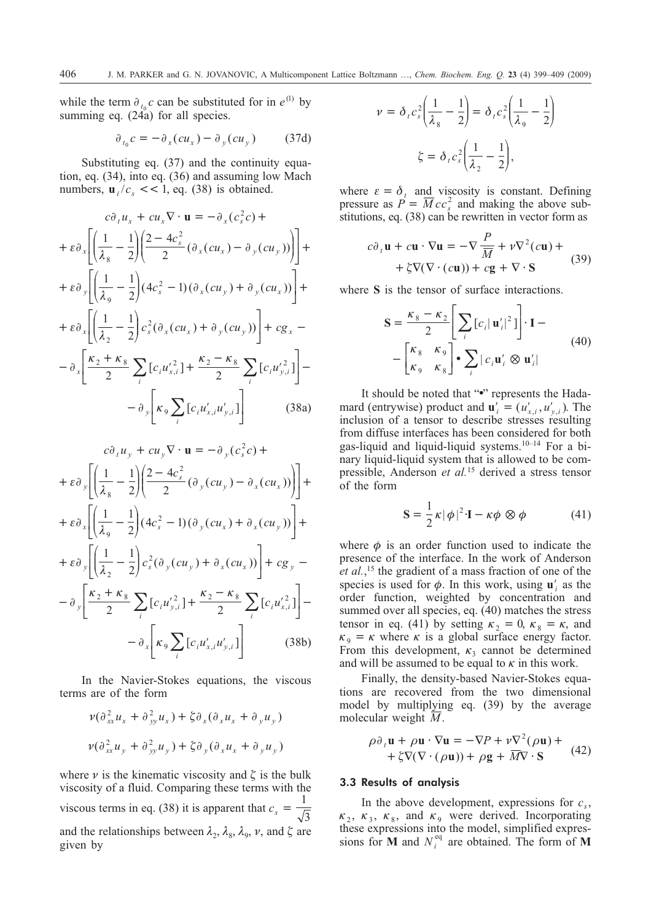while the term  $\partial_{t_0} c$  can be substituted for in  $e^{(1)}$  by summing eq.  $(24a)$  for all species.

$$
\partial_{t_0} c = -\partial_x (c u_x) - \partial_y (c u_y) \tag{37d}
$$

Substituting eq. (37) and the continuity equation, eq. (34), into eq. (36) and assuming low Mach numbers,  $\mathbf{u}$ ,  $/c$ ,  $<<$  1, eq. (38) is obtained.

$$
c\partial_t u_x + cu_x \nabla \cdot \mathbf{u} = -\partial_x (c_s^2 c) +
$$
  
+  $\varepsilon \partial_x \left[ \left( \frac{1}{\lambda_s} - \frac{1}{2} \right) \left( \frac{2 - 4c_s^2}{2} (\partial_x (cu_x) - \partial_y (cu_y)) \right) \right] +$   
+  $\varepsilon \partial_y \left[ \left( \frac{1}{\lambda_9} - \frac{1}{2} \right) (4c_s^2 - 1) (\partial_x (cu_y) + \partial_y (cu_x)) \right] +$   
+  $\varepsilon \partial_x \left[ \left( \frac{1}{\lambda_2} - \frac{1}{2} \right) c_s^2 (\partial_x (cu_x) + \partial_y (cu_y)) \right] + cg_x -$   
-  $\partial_x \left[ \frac{\kappa_2 + \kappa_8}{2} \sum_i [c_i u_{x,i}^2] + \frac{\kappa_2 - \kappa_8}{2} \sum_i [c_i u_{y,i}^2] \right] -$   
-  $\partial_y \left[ \kappa_9 \sum_i [c_i u_{x,i}^2 u_{y,i}^2] \right]$  (38a)

$$
c\partial_t u_y + cu_y \nabla \cdot \mathbf{u} = -\partial_y (c_s^2 c) +
$$
  
+  $\varepsilon \partial_y \left[ \left( \frac{1}{\lambda_s} - \frac{1}{2} \right) \left( \frac{2 - 4c_s^2}{2} (\partial_y (cu_y) - \partial_x (cu_x)) \right) \right] +$   
+  $\varepsilon \partial_x \left[ \left( \frac{1}{\lambda_9} - \frac{1}{2} \right) (4c_s^2 - 1) (\partial_y (cu_x) + \partial_x (cu_y)) \right] +$   
+  $\varepsilon \partial_y \left[ \left( \frac{1}{\lambda_2} - \frac{1}{2} \right) c_s^2 (\partial_y (cu_y) + \partial_x (cu_x)) \right] + cg_y -$   
-  $\partial_y \left[ \frac{\kappa_2 + \kappa_8}{2} \sum_i [c_i u'_{y,i}] + \frac{\kappa_2 - \kappa_8}{2} \sum_i [c_i u'_{x,i}] \right] -$   
-  $\partial_x \left[ \kappa_9 \sum_i [c_i u'_{x,i} u'_{y,i}] \right]$  (38b)

In the Navier-Stokes equations, the viscous terms are of the form

$$
\nu(\partial_{xx}^2 u_x + \partial_{yy}^2 u_x) + \zeta \partial_x (\partial_x u_x + \partial_y u_y)
$$
  

$$
\nu(\partial_{xx}^2 u_y + \partial_{yy}^2 u_y) + \zeta \partial_y (\partial_x u_x + \partial_y u_y)
$$

where  $\nu$  is the kinematic viscosity and  $\zeta$  is the bulk viscosity of a fluid. Comparing these terms with the viscous terms in eq. (38) it is apparent that  $c_s = \frac{1}{\sqrt{3}}$ and the relationships between  $\lambda_2$ ,  $\lambda_8$ ,  $\lambda_9$ ,  $\nu$ , and  $\zeta$  are given by

$$
\nu = \delta_t c_s^2 \left( \frac{1}{\lambda_s} - \frac{1}{2} \right) = \delta_t c_s^2 \left( \frac{1}{\lambda_s} - \frac{1}{2} \right)
$$

$$
\zeta = \delta_t c_s^2 \left( \frac{1}{\lambda_2} - \frac{1}{2} \right),
$$

where  $\varepsilon = \delta_t$  and viscosity is constant. Defining pressure as  $P = \overline{M} c c_s^2$  and making the above substitutions, eq. (38) can be rewritten in vector form as

$$
c\partial_{t}\mathbf{u} + c\mathbf{u} \cdot \nabla \mathbf{u} = -\nabla \frac{P}{\overline{M}} + \nu \nabla^{2}(c\mathbf{u}) +
$$
  
+  $\xi \nabla (\nabla \cdot (c\mathbf{u})) + c\mathbf{g} + \nabla \cdot \mathbf{S}$  (39)

where **S** is the tensor of surface interactions.

$$
\mathbf{S} = \frac{\kappa_{8} - \kappa_{2}}{2} \left[ \sum_{i} [c_{i} | \mathbf{u}_{i}'|^{2}] \right] \cdot \mathbf{I} -
$$

$$
- \left[ \frac{\kappa_{8} - \kappa_{9}}{\kappa_{9} - \kappa_{8}} \right] \cdot \sum_{i} |c_{i} \mathbf{u}_{i}' \otimes \mathbf{u}_{i}'|
$$
(40)

It should be noted that "." represents the Hadamard (entrywise) product and  $\mathbf{u}'_i = (u'_{x,i}, u'_{y,i})$ . The inclusion of a tensor to describe stresses resulting from diffuse interfaces has been considered for both gas-liquid and liquid-liquid systems.10–14 For a binary liquid-liquid system that is allowed to be compressible, Anderson *et al.*<sup>15</sup> derived a stress tensor of the form

$$
\mathbf{S} = \frac{1}{2}\kappa |\phi|^2 \cdot \mathbf{I} - \kappa \phi \otimes \phi \tag{41}
$$

where  $\phi$  is an order function used to indicate the presence of the interface. In the work of Anderson *et al.*, <sup>15</sup> the gradient of a mass fraction of one of the species is used for  $\phi$ . In this work, using **u**<sup> $\prime$ </sup> as the order function, weighted by concentration and summed over all species, eq. (40) matches the stress tensor in eq. (41) by setting  $\kappa_2 = 0$ ,  $\kappa_8 = \kappa$ , and  $\kappa_{\rm g} = \kappa$  where  $\kappa$  is a global surface energy factor. From this development,  $\kappa_3$  cannot be determined and will be assumed to be equal to  $\kappa$  in this work.

Finally, the density-based Navier-Stokes equations are recovered from the two dimensional model by multiplying eq. (39) by the average molecular weight *M*.

$$
\rho \partial_t \mathbf{u} + \rho \mathbf{u} \cdot \nabla \mathbf{u} = -\nabla P + \nu \nabla^2 (\rho \mathbf{u}) +
$$
  
+  $\xi \nabla (\nabla \cdot (\rho \mathbf{u})) + \rho \mathbf{g} + \overline{M} \nabla \cdot \mathbf{S}$  (42)

#### 3.3 Results of analysis

In the above development, expressions for  $c_s$ ,  $\kappa_2$ ,  $\kappa_3$ ,  $\kappa_8$ , and  $\kappa_9$  were derived. Incorporating these expressions into the model, simplified expressions for **M** and  $N_i^{eq}$  are obtained. The form of **M**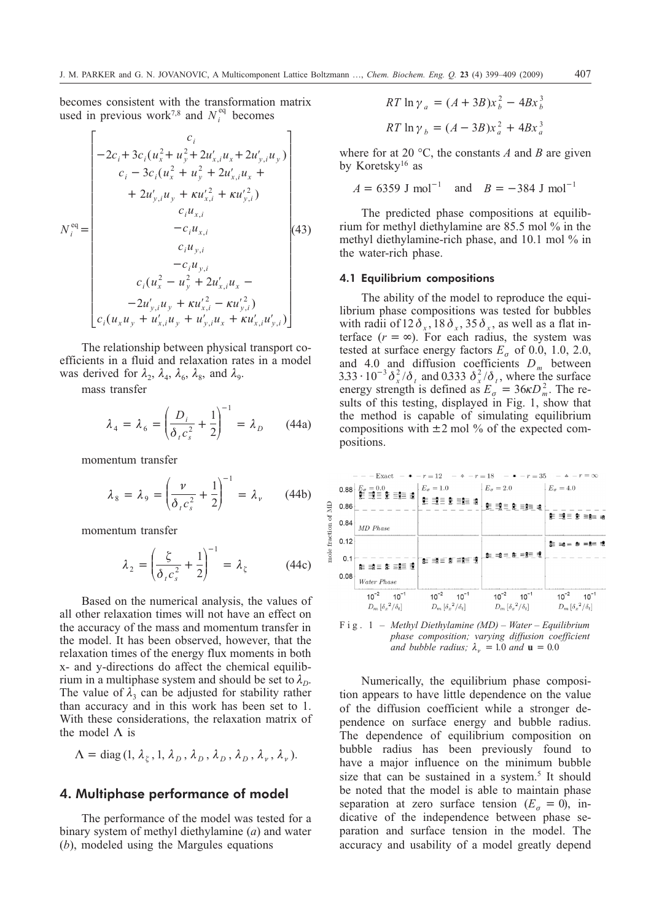becomes consistent with the transformation matrix used in previous work<sup>7,8</sup> and  $N_i^{eq}$  becomes

$$
N_i^{eq} = \begin{bmatrix} c_i \\ -2c_i + 3c_i(u_x^2 + u_y^2 + 2u'_{x,i}u_x + 2u'_{y,i}u_y) \\ c_i - 3c_i(u_x^2 + u_y^2 + 2u'_{x,i}u_x + 2u'_{y,i}u_y + \kappa u'_{x,i}^2 + \kappa u'_{y,i}^2) \\ + 2u'_{y,i}u_y + \kappa u'_{x,i}^2 + \kappa u'_{y,i}^2) \\ c_iu_{x,i} \\ c_iu_{y,i} \\ -c_iu_{y,i} \\ c_i(u_x^2 - u_y^2 + 2u'_{x,i}u_x - 2u'_{y,i}u_y + \kappa u'_{x,i}^2 - \kappa u'_{y,i}^2) \\ c_i(u_xu_y + u'_{x,i}u_y + u'_{y,i}u_x + \kappa u'_{x,i}u'_{y,i}) \end{bmatrix}
$$

The relationship between physical transport coefficients in a fluid and relaxation rates in a model was derived for  $\lambda_2$ ,  $\lambda_4$ ,  $\lambda_6$ ,  $\lambda_8$ , and  $\lambda_9$ .

mass transfer

$$
\lambda_4 = \lambda_6 = \left(\frac{D_i}{\delta_i c_s^2} + \frac{1}{2}\right)^{-1} = \lambda_D \qquad (44a)
$$

momentum transfer

$$
\lambda_8 = \lambda_9 = \left(\frac{\nu}{\delta_r c_s^2} + \frac{1}{2}\right)^{-1} = \lambda_\nu \qquad (44b)
$$

momentum transfer

$$
\lambda_2 = \left(\frac{\zeta}{\delta_r c_s^2} + \frac{1}{2}\right)^{-1} = \lambda_\zeta \tag{44c}
$$

Based on the numerical analysis, the values of all other relaxation times will not have an effect on the accuracy of the mass and momentum transfer in the model. It has been observed, however, that the relaxation times of the energy flux moments in both x- and y-directions do affect the chemical equilibrium in a multiphase system and should be set to  $\lambda_{D}$ . The value of  $\lambda_3$  can be adjusted for stability rather than accuracy and in this work has been set to 1. With these considerations, the relaxation matrix of the model  $\Lambda$  is

$$
\Lambda = \text{diag}(1, \lambda_{\xi}, 1, \lambda_{D}, \lambda_{D}, \lambda_{D}, \lambda_{D}, \lambda_{\nu}, \lambda_{\nu}).
$$

## **4. Multiphase performance of model**

The performance of the model was tested for a binary system of methyl diethylamine (*a*) and water (*b*), modeled using the Margules equations

$$
RT \ln \gamma_a = (A + 3B)x_b^2 - 4Bx_b^3
$$
  

$$
RT \ln \gamma_b = (A - 3B)x_a^2 + 4Bx_a^3
$$

where for at 20 °C, the constants *A* and *B* are given by Koretsky16 as

$$
A = 6359
$$
 J mol<sup>-1</sup> and  $B = -384$  J mol<sup>-1</sup>

The predicted phase compositions at equilibrium for methyl diethylamine are 85.5 mol % in the methyl diethylamine-rich phase, and 10.1 mol % in the water-rich phase.

#### 4.1 Equilibrium compositions

The ability of the model to reproduce the equilibrium phase compositions was tested for bubbles with radii of  $12 \delta_x$ ,  $18 \delta_x$ ,  $35 \delta_x$ , as well as a flat interface  $(r = \infty)$ . For each radius, the system was tested at surface energy factors  $E<sub>o</sub>$  of 0.0, 1.0, 2.0, and 4.0 and diffusion coefficients  $D_m$  between  $3.33 \cdot 10^{-3} \delta_x^2/\delta_t$  and 0.333  $\delta_x^2/\delta_t$ , where the surface energy strength is defined as  $E_a = 36 \kappa D_m^2$ . The results of this testing, displayed in Fig. 1, show that the method is capable of simulating equilibrium compositions with  $\pm 2$  mol % of the expected compositions.



Fig. 1 – *Methyl Diethylamine (MD) – Water – Equilibrium phase composition; varying diffusion coefficient and bubble radius;*  $\lambda_v = 1.0$  *and*  $\mathbf{u} = 0.0$ 

Numerically, the equilibrium phase composition appears to have little dependence on the value of the diffusion coefficient while a stronger dependence on surface energy and bubble radius. The dependence of equilibrium composition on bubble radius has been previously found to have a major influence on the minimum bubble size that can be sustained in a system.<sup>5</sup> It should be noted that the model is able to maintain phase separation at zero surface tension  $(E_{\sigma} = 0)$ , indicative of the independence between phase separation and surface tension in the model. The accuracy and usability of a model greatly depend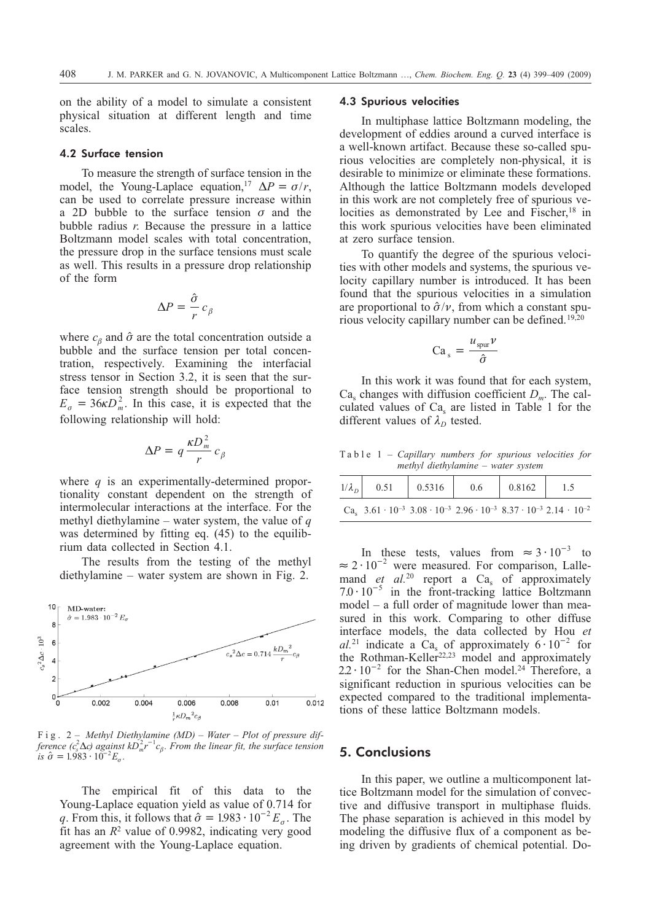on the ability of a model to simulate a consistent physical situation at different length and time scales.

#### 4.2 Surface tension

To measure the strength of surface tension in the model, the Young-Laplace equation,<sup>17</sup>  $\Delta P = \sigma/r$ , can be used to correlate pressure increase within a 2D bubble to the surface tension  $\sigma$  and the bubble radius *r*. Because the pressure in a lattice Boltzmann model scales with total concentration, the pressure drop in the surface tensions must scale as well. This results in a pressure drop relationship of the form

$$
\Delta P = \frac{\hat{\sigma}}{r} c_{\beta}
$$

where  $c_{\beta}$  and  $\hat{\sigma}$  are the total concentration outside a bubble and the surface tension per total concentration, respectively. Examining the interfacial stress tensor in Section 3.2, it is seen that the surface tension strength should be proportional to  $E_a = 36 \kappa D_m^2$ . In this case, it is expected that the following relationship will hold:

$$
\Delta P = q \frac{\kappa D_m^2}{r} c_\beta
$$

where *q* is an experimentally-determined proportionality constant dependent on the strength of intermolecular interactions at the interface. For the methyl diethylamine – water system, the value of *q* was determined by fitting eq. (45) to the equilibrium data collected in Section 4.1.

The results from the testing of the methyl diethylamine – water system are shown in Fig. 2.



Fig. 2 – *Methyl Diethylamine (MD) – Water – Plot of pressure difference (c<sub>s</sub>* $\Delta c$ ) against  $kD_m^2r^{-1}c_\beta$ . From the linear fit, the surface tension *is*  $\hat{\sigma} = 1.983 \cdot 10^{-2} E_{\sigma}$ .

The empirical fit of this data to the Young-Laplace equation yield as value of 0.714 for *q*. From this, it follows that  $\hat{\sigma} = 1.983 \cdot 10^{-2} E_{\sigma}$ . The fit has an  $R^2$  value of 0.9982, indicating very good agreement with the Young-Laplace equation.

## 4.3 Spurious velocities

In multiphase lattice Boltzmann modeling, the development of eddies around a curved interface is a well-known artifact. Because these so-called spurious velocities are completely non-physical, it is desirable to minimize or eliminate these formations. Although the lattice Boltzmann models developed in this work are not completely free of spurious velocities as demonstrated by Lee and Fischer,<sup>18</sup> in this work spurious velocities have been eliminated at zero surface tension.

To quantify the degree of the spurious velocities with other models and systems, the spurious velocity capillary number is introduced. It has been found that the spurious velocities in a simulation are proportional to  $\hat{\sigma}/\nu$ , from which a constant spurious velocity capillary number can be defined.19,20

$$
\mathrm{Ca}_{s} = \frac{u_{\mathrm{spur}} \nu}{\hat{\sigma}}
$$

In this work it was found that for each system,  $Ca<sub>s</sub>$  changes with diffusion coefficient  $D<sub>m</sub>$ . The calculated values of  $Ca<sub>s</sub>$  are listed in Table 1 for the different values of  $\lambda_D$  tested.

Table 1 – *Capillary numbers for spurious velocities for methyl diethylamine – water system*

| $1/\lambda_D$ 0.51 0.5316 0.6 0.8162 1.5 |  |                                                                                                                               |
|------------------------------------------|--|-------------------------------------------------------------------------------------------------------------------------------|
|                                          |  | $Cas$ 3.61 · 10 <sup>-3</sup> 3.08 · 10 <sup>-3</sup> 2.96 · 10 <sup>-3</sup> 8.37 · 10 <sup>-3</sup> 2.14 · 10 <sup>-2</sup> |

In these tests, values from  $\approx 3 \cdot 10^{-3}$  to  $\approx 2 \cdot 10^{-2}$  were measured. For comparison, Lallemand *et al.*<sup>20</sup> report a  $Ca<sub>s</sub>$  of approximately  $7.0 \cdot 10^{-5}$  in the front-tracking lattice Boltzmann model – a full order of magnitude lower than measured in this work. Comparing to other diffuse interface models, the data collected by Hou *et*  $al.^{21}$  indicate a Ca<sub>s</sub> of approximately  $6 \cdot 10^{-2}$  for the Rothman-Keller<sup>22,23</sup> model and approximately  $2.2 \cdot 10^{-2}$  for the Shan-Chen model.<sup>24</sup> Therefore, a significant reduction in spurious velocities can be expected compared to the traditional implementations of these lattice Boltzmann models.

## **5. Conclusions**

In this paper, we outline a multicomponent lattice Boltzmann model for the simulation of convective and diffusive transport in multiphase fluids. The phase separation is achieved in this model by modeling the diffusive flux of a component as being driven by gradients of chemical potential. Do-